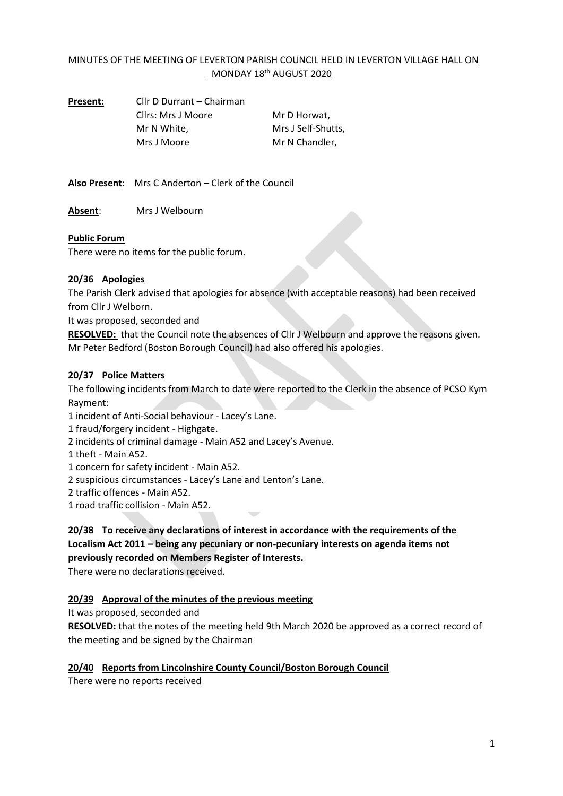# MINUTES OF THE MEETING OF LEVERTON PARISH COUNCIL HELD IN LEVERTON VILLAGE HALL ON MONDAY 18<sup>th</sup> AUGUST 2020

| Present: | Cllr D Durrant – Chairman |                    |
|----------|---------------------------|--------------------|
|          | Cllrs: Mrs J Moore        | Mr D Horwat.       |
|          | Mr N White.               | Mrs J Self-Shutts, |
|          | Mrs J Moore               | Mr N Chandler.     |
|          |                           |                    |

**Also Present**: Mrs C Anderton – Clerk of the Council

**Absent**: Mrs J Welbourn

#### **Public Forum**

There were no items for the public forum.

#### **20/36 Apologies**

The Parish Clerk advised that apologies for absence (with acceptable reasons) had been received from Cllr J Welborn.

It was proposed, seconded and

**RESOLVED:** that the Council note the absences of Cllr J Welbourn and approve the reasons given. Mr Peter Bedford (Boston Borough Council) had also offered his apologies.

#### **20/37 Police Matters**

The following incidents from March to date were reported to the Clerk in the absence of PCSO Kym Rayment:

1 incident of Anti-Social behaviour - Lacey's Lane.

1 fraud/forgery incident - Highgate.

2 incidents of criminal damage - Main A52 and Lacey's Avenue.

1 theft - Main A52.

1 concern for safety incident - Main A52.

2 suspicious circumstances - Lacey's Lane and Lenton's Lane.

2 traffic offences - Main A52.

1 road traffic collision - Main A52.

# **20/38 To receive any declarations of interest in accordance with the requirements of the Localism Act 2011 – being any pecuniary or non-pecuniary interests on agenda items not previously recorded on Members Register of Interests.**

There were no declarations received.

# **20/39 Approval of the minutes of the previous meeting**

It was proposed, seconded and

**RESOLVED:** that the notes of the meeting held 9th March 2020 be approved as a correct record of the meeting and be signed by the Chairman

#### **20/40 Reports from Lincolnshire County Council/Boston Borough Council**

There were no reports received